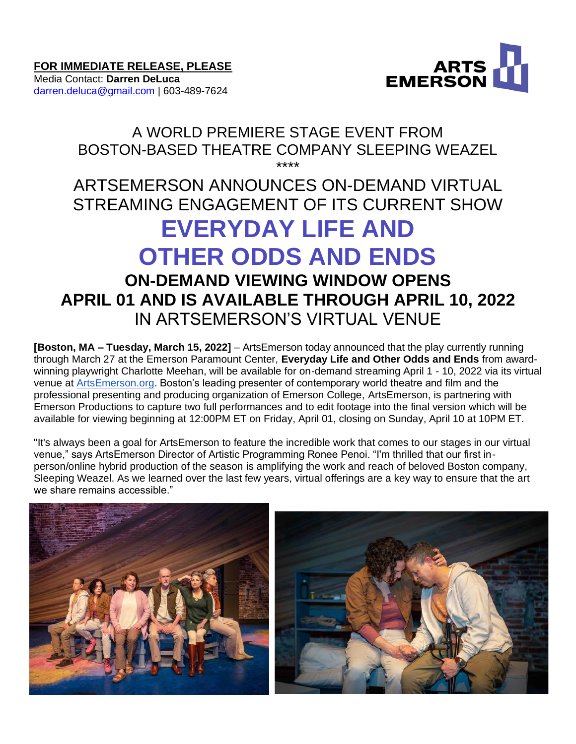

Media Contact: **Darren DeLuca** [darren.deluca@gmail.com](mailto:darren.deluca@gmail.com) | 603-489-7624

# A WORLD PREMIERE STAGE EVENT FROM BOSTON-BASED THEATRE COMPANY SLEEPING WEAZEL \*\*\*\*

# ARTSEMERSON ANNOUNCES ON-DEMAND VIRTUAL STREAMING ENGAGEMENT OF ITS CURRENT SHOW **EVERYDAY LIFE AND OTHER ODDS AND ENDS ON-DEMAND VIEWING WINDOW OPENS APRIL 01 AND IS AVAILABLE THROUGH APRIL 10, 2022** IN ARTSEMERSON'S VIRTUAL VENUE

**[Boston, MA – Tuesday, March 15, 2022]** – ArtsEmerson today announced that the play currently running through March 27 at the Emerson Paramount Center, **Everyday Life and Other Odds and Ends** from awardwinning playwright Charlotte Meehan, will be available for on-demand streaming April 1 - 10, 2022 via its virtual venue at [ArtsEmerson.org.](http://artsemerson.org/) Boston's leading presenter of contemporary world theatre and film and the professional presenting and producing organization of Emerson College, ArtsEmerson, is partnering with Emerson Productions to capture two full performances and to edit footage into the final version which will be available for viewing beginning at 12:00PM ET on Friday, April 01, closing on Sunday, April 10 at 10PM ET.

"It's always been a goal for ArtsEmerson to feature the incredible work that comes to our stages in our virtual venue," says ArtsEmerson Director of Artistic Programming Ronee Penoi. "I'm thrilled that our first inperson/online hybrid production of the season is amplifying the work and reach of beloved Boston company, Sleeping Weazel. As we learned over the last few years, virtual offerings are a key way to ensure that the art we share remains accessible."

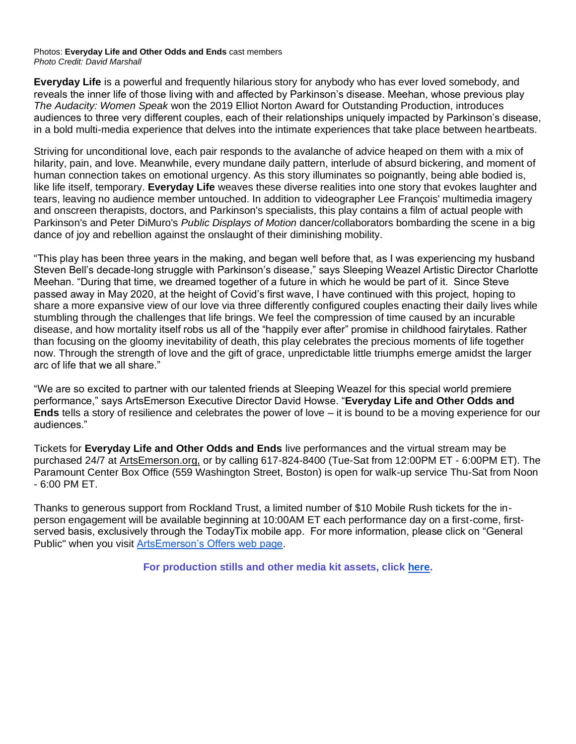#### Photos: **Everyday Life and Other Odds and Ends** cast members *Photo Credit: David Marshall*

**Everyday Life** is a powerful and frequently hilarious story for anybody who has ever loved somebody, and reveals the inner life of those living with and affected by Parkinson's disease. Meehan, whose previous play *The Audacity: Women Speak* won the 2019 Elliot Norton Award for Outstanding Production, introduces audiences to three very different couples, each of their relationships uniquely impacted by Parkinson's disease, in a bold multi-media experience that delves into the intimate experiences that take place between heartbeats.

Striving for unconditional love, each pair responds to the avalanche of advice heaped on them with a mix of hilarity, pain, and love. Meanwhile, every mundane daily pattern, interlude of absurd bickering, and moment of human connection takes on emotional urgency. As this story illuminates so poignantly, being able bodied is, like life itself, temporary. **Everyday Life** weaves these diverse realities into one story that evokes laughter and tears, leaving no audience member untouched. In addition to videographer Lee François' multimedia imagery and onscreen therapists, doctors, and Parkinson's specialists, this play contains a film of actual people with Parkinson's and Peter DiMuro's *Public Displays of Motion* dancer/collaborators bombarding the scene in a big dance of joy and rebellion against the onslaught of their diminishing mobility.

"This play has been three years in the making, and began well before that, as I was experiencing my husband Steven Bell's decade-long struggle with Parkinson's disease," says Sleeping Weazel Artistic Director Charlotte Meehan. "During that time, we dreamed together of a future in which he would be part of it. Since Steve passed away in May 2020, at the height of Covid's first wave, I have continued with this project, hoping to share a more expansive view of our love via three differently configured couples enacting their daily lives while stumbling through the challenges that life brings. We feel the compression of time caused by an incurable disease, and how mortality itself robs us all of the "happily ever after" promise in childhood fairytales. Rather than focusing on the gloomy inevitability of death, this play celebrates the precious moments of life together now. Through the strength of love and the gift of grace, unpredictable little triumphs emerge amidst the larger arc of life that we all share."

"We are so excited to partner with our talented friends at Sleeping Weazel for this special world premiere performance," says ArtsEmerson Executive Director David Howse. "**Everyday Life and Other Odds and Ends** tells a story of resilience and celebrates the power of love – it is bound to be a moving experience for our audiences."

Tickets for **Everyday Life and Other Odds and Ends** live performances and the virtual stream may be purchased 24/7 at [ArtsEmerson.org,](https://artsemerson.org/events/iphigenia/) or by calling 617-824-8400 (Tue-Sat from 12:00PM ET - 6:00PM ET). The Paramount Center Box Office (559 Washington Street, Boston) is open for walk-up service Thu-Sat from Noon - 6:00 PM ET.

Thanks to generous support from Rockland Trust, a limited number of \$10 Mobile Rush tickets for the inperson engagement will be available beginning at 10:00AM ET each performance day on a first-come, firstserved basis, exclusively through the TodayTix mobile app. For more information, please click on "General Public'' when you visit [ArtsEmerson's Offers web page.](https://artsemerson.org/packages-offers/offers/)

**For production stills and other media kit assets, click [here.](https://tickets.artsemerson.org/Online/default.asp?doWork::WScontent::loadArticle=Load&BOparam::WScontent::loadArticle::article_id=8092E4DE-6A24-46DB-981A-CEB7CD475FAB)**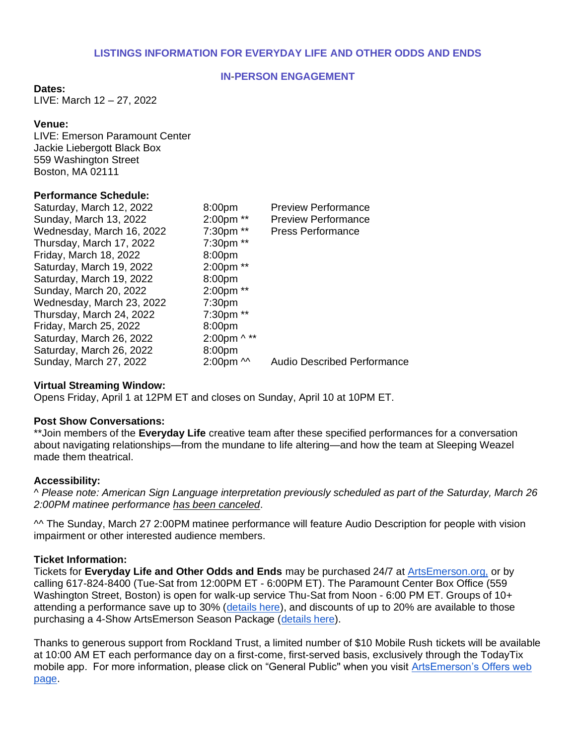# **LISTINGS INFORMATION FOR EVERYDAY LIFE AND OTHER ODDS AND ENDS**

#### **IN**-**PERSON ENGAGEMENT**

#### **Dates:**

LIVE: March 12 – 27, 2022

#### **Venue:**

LIVE: Emerson Paramount Center Jackie Liebergott Black Box 559 Washington Street Boston, MA 02111

#### **Performance Schedule:**

| Saturday, March 12, 2022  | 8:00pm             | <b>Preview Performance</b>         |
|---------------------------|--------------------|------------------------------------|
| Sunday, March 13, 2022    | 2:00pm **          | <b>Preview Performance</b>         |
| Wednesday, March 16, 2022 | 7:30pm **          | <b>Press Performance</b>           |
| Thursday, March 17, 2022  | 7:30pm **          |                                    |
| Friday, March 18, 2022    | 8:00pm             |                                    |
| Saturday, March 19, 2022  | 2:00pm **          |                                    |
| Saturday, March 19, 2022  | 8:00pm             |                                    |
| Sunday, March 20, 2022    | 2:00pm **          |                                    |
| Wednesday, March 23, 2022 | 7:30 <sub>pm</sub> |                                    |
| Thursday, March 24, 2022  | 7:30pm **          |                                    |
| Friday, March 25, 2022    | 8:00pm             |                                    |
| Saturday, March 26, 2022  | 2:00pm ^ **        |                                    |
| Saturday, March 26, 2022  | 8:00 <sub>pm</sub> |                                    |
| Sunday, March 27, 2022    | $2:00$ pm $\sim$   | <b>Audio Described Performance</b> |

#### **Virtual Streaming Window:**

Opens Friday, April 1 at 12PM ET and closes on Sunday, April 10 at 10PM ET.

#### **Post Show Conversations:**

\*\*Join members of the **Everyday Life** creative team after these specified performances for a conversation about navigating relationships—from the mundane to life altering—and how the team at Sleeping Weazel made them theatrical.

#### **Accessibility:**

^ *Please note: American Sign Language interpretation previously scheduled as part of the Saturday, March 26 2:00PM matinee performance has been canceled*.

^^ The Sunday, March 27 2:00PM matinee performance will feature Audio Description for people with vision impairment or other interested audience members.

#### **Ticket Information:**

Tickets for **Everyday Life and Other Odds and Ends** may be purchased 24/7 at [ArtsEmerson.org,](https://artsemerson.org/events/iphigenia/) or by calling 617-824-8400 (Tue-Sat from 12:00PM ET - 6:00PM ET). The Paramount Center Box Office (559 Washington Street, Boston) is open for walk-up service Thu-Sat from Noon - 6:00 PM ET. Groups of 10+ attending a performance save up to 30% [\(details here\)](https://artsemerson.org/packages-offers/groups/), and discounts of up to 20% are available to those purchasing a 4-Show ArtsEmerson Season Package [\(details here\)](https://artsemerson.org/packages-offers/packages/).

Thanks to generous support from Rockland Trust, a limited number of \$10 Mobile Rush tickets will be available at 10:00 AM ET each performance day on a first-come, first-served basis, exclusively through the TodayTix mobile app. For more information, please click on "General Public'' when you visit [ArtsEmerson's Offers web](https://artsemerson.org/packages-offers/offers/)  [page.](https://artsemerson.org/packages-offers/offers/)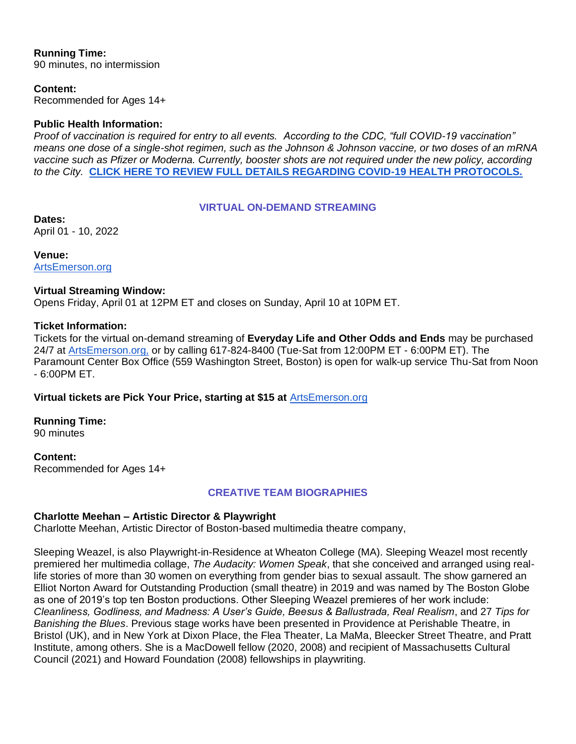# **Running Time:**

90 minutes, no intermission

# **Content:**

Recommended for Ages 14+

# **Public Health Information:**

*Proof of vaccination is required for entry to all events. According to the CDC, "full COVID-19 vaccination" means one dose of a single-shot regimen, such as the Johnson & Johnson vaccine, or two doses of an mRNA*  vaccine such as Pfizer or Moderna. Currently, booster shots are not required under the new policy, according *to the City.* **[CLICK HERE TO REVIEW FULL DETAILS REGARDING COVID-19 HEALTH PROTOCOLS.](https://artsemerson.org/visit/public-health/)**

# **VIRTUAL ON-DEMAND STREAMING**

**Dates:** April 01 - 10, 2022

**Venue:** [ArtsEmerson.org](http://artsemerson.org/)

# **Virtual Streaming Window:**

Opens Friday, April 01 at 12PM ET and closes on Sunday, April 10 at 10PM ET.

#### **Ticket Information:**

Tickets for the virtual on-demand streaming of **Everyday Life and Other Odds and Ends** may be purchased 24/7 at [ArtsEmerson.org,](https://artsemerson.org/events/iphigenia/) or by calling 617-824-8400 (Tue-Sat from 12:00PM ET - 6:00PM ET). The Paramount Center Box Office (559 Washington Street, Boston) is open for walk-up service Thu-Sat from Noon - 6:00PM ET.

# **Virtual tickets are Pick Your Price, starting at \$15 at** [ArtsEmerson.org](http://artsemerson.org/)

# **Running Time:**

90 minutes

**Content:** Recommended for Ages 14+

# **CREATIVE TEAM BIOGRAPHIES**

# **Charlotte Meehan – Artistic Director & Playwright**

Charlotte Meehan, Artistic Director of Boston-based multimedia theatre company,

Sleeping Weazel, is also Playwright-in-Residence at Wheaton College (MA). Sleeping Weazel most recently premiered her multimedia collage, *The Audacity: Women Speak*, that she conceived and arranged using reallife stories of more than 30 women on everything from gender bias to sexual assault. The show garnered an Elliot Norton Award for Outstanding Production (small theatre) in 2019 and was named by The Boston Globe as one of 2019's top ten Boston productions. Other Sleeping Weazel premieres of her work include: *Cleanliness, Godliness, and Madness: A User's Guide, Beesus & Ballustrada, Real Realism*, and 27 *Tips for Banishing the Blues*. Previous stage works have been presented in Providence at Perishable Theatre, in Bristol (UK), and in New York at Dixon Place, the Flea Theater, La MaMa, Bleecker Street Theatre, and Pratt Institute, among others. She is a MacDowell fellow (2020, 2008) and recipient of Massachusetts Cultural Council (2021) and Howard Foundation (2008) fellowships in playwriting.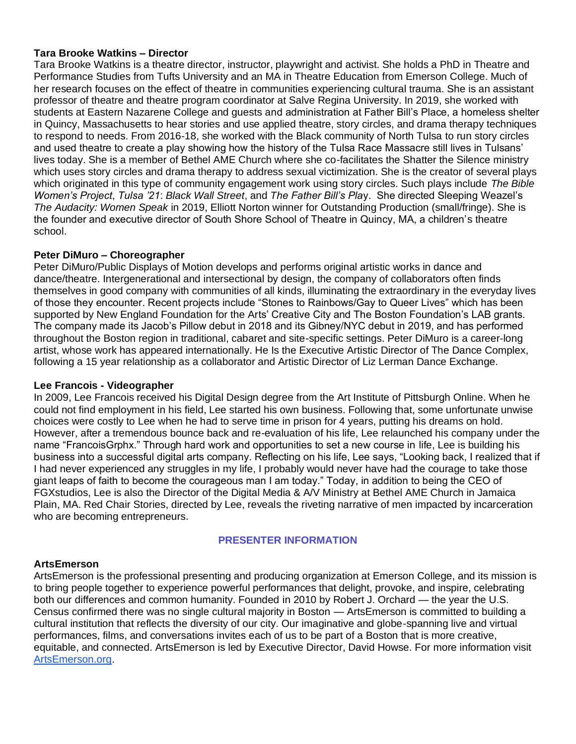## **Tara Brooke Watkins – Director**

Tara Brooke Watkins is a theatre director, instructor, playwright and activist. She holds a PhD in Theatre and Performance Studies from Tufts University and an MA in Theatre Education from Emerson College. Much of her research focuses on the effect of theatre in communities experiencing cultural trauma. She is an assistant professor of theatre and theatre program coordinator at Salve Regina University. In 2019, she worked with students at Eastern Nazarene College and guests and administration at Father Bill's Place, a homeless shelter in Quincy, Massachusetts to hear stories and use applied theatre, story circles, and drama therapy techniques to respond to needs. From 2016-18, she worked with the Black community of North Tulsa to run story circles and used theatre to create a play showing how the history of the Tulsa Race Massacre still lives in Tulsans' lives today. She is a member of Bethel AME Church where she co-facilitates the Shatter the Silence ministry which uses story circles and drama therapy to address sexual victimization. She is the creator of several plays which originated in this type of community engagement work using story circles. Such plays include *The Bible Women's Project*, *Tulsa '21*: *Black Wall Street*, and *The Father Bill's Pla*y. She directed Sleeping Weazel's *The Audacity: Women Speak* in 2019, Elliott Norton winner for Outstanding Production (small/fringe). She is the founder and executive director of South Shore School of Theatre in Quincy, MA, a children's theatre school.

# **Peter DiMuro – Choreographer**

Peter DiMuro/Public Displays of Motion develops and performs original artistic works in dance and dance/theatre. Intergenerational and intersectional by design, the company of collaborators often finds themselves in good company with communities of all kinds, illuminating the extraordinary in the everyday lives of those they encounter. Recent projects include "Stones to Rainbows/Gay to Queer Lives" which has been supported by New England Foundation for the Arts' Creative City and The Boston Foundation's LAB grants. The company made its Jacob's Pillow debut in 2018 and its Gibney/NYC debut in 2019, and has performed throughout the Boston region in traditional, cabaret and site-specific settings. Peter DiMuro is a career-long artist, whose work has appeared internationally. He Is the Executive Artistic Director of The Dance Complex, following a 15 year relationship as a collaborator and Artistic Director of Liz Lerman Dance Exchange.

# **Lee Francois - Videographer**

In 2009, Lee Francois received his Digital Design degree from the Art Institute of Pittsburgh Online. When he could not find employment in his field, Lee started his own business. Following that, some unfortunate unwise choices were costly to Lee when he had to serve time in prison for 4 years, putting his dreams on hold. However, after a tremendous bounce back and re-evaluation of his life, Lee relaunched his company under the name "FrancoisGrphx." Through hard work and opportunities to set a new course in life, Lee is building his business into a successful digital arts company. Reflecting on his life, Lee says, "Looking back, I realized that if I had never experienced any struggles in my life, I probably would never have had the courage to take those giant leaps of faith to become the courageous man I am today." Today, in addition to being the CEO of FGXstudios, Lee is also the Director of the Digital Media & A/V Ministry at Bethel AME Church in Jamaica Plain, MA. Red Chair Stories, directed by Lee, reveals the riveting narrative of men impacted by incarceration who are becoming entrepreneurs.

# **PRESENTER INFORMATION**

#### **ArtsEmerson**

ArtsEmerson is the professional presenting and producing organization at Emerson College, and its mission is to bring people together to experience powerful performances that delight, provoke, and inspire, celebrating both our differences and common humanity. Founded in 2010 by Robert J. Orchard — the year the U.S. Census confirmed there was no single cultural majority in Boston — ArtsEmerson is committed to building a cultural institution that reflects the diversity of our city. Our imaginative and globe-spanning live and virtual performances, films, and conversations invites each of us to be part of a Boston that is more creative, equitable, and connected. ArtsEmerson is led by Executive Director, David Howse. For more information visit [ArtsEmerson.org.](http://artsemerson.org/)